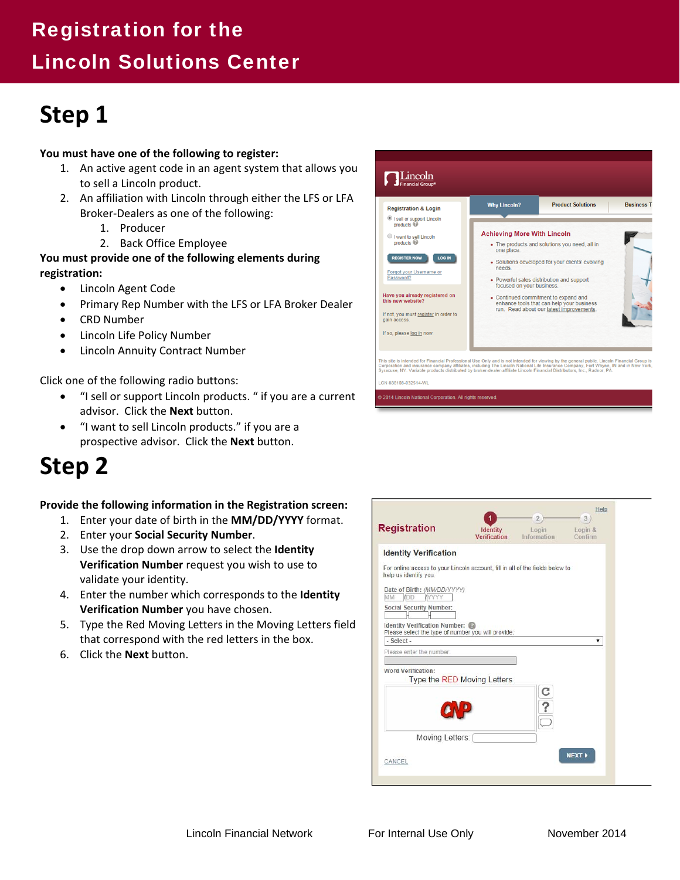## Registration for the

## Lincoln Solutions Center

# **Step 1**

### **You must have one of the following to register:**

- 1. An active agent code in an agent system that allows you to sell a Lincoln product.
- 2. An affiliation with Lincoln through either the LFS or LFA Broker‐Dealers as one of the following:
	- 1. Producer
	- 2. Back Office Employee

### **You must provide one of the following elements during registration:**

- Lincoln Agent Code
- Primary Rep Number with the LFS or LFA Broker Dealer
- CRD Number
- Lincoln Life Policy Number
- Lincoln Annuity Contract Number

Click one of the following radio buttons:

- "I sell or support Lincoln products. " if you are a current advisor. Click the **Next** button.
- "I want to sell Lincoln products." if you are a prospective advisor. Click the **Next** button.

# **Step 2**

### **Provide the following information in the Registration screen:**

- 1. Enter your date of birth in the **MM/DD/YYYY** format.
- 2. Enter your **Social Security Number**.
- 3. Use the drop down arrow to select the **Identity Verification Number** request you wish to use to validate your identity.
- 4. Enter the number which corresponds to the **Identity Verification Number** you have chosen.
- 5. Type the Red Moving Letters in the Moving Letters field that correspond with the red letters in the box.
- 6. Click the **Next** button.



| <b>Registration</b>                                                                                    | <b>Identity</b><br><b>Verification</b> | Login<br>Information | Help<br>3<br>Login &<br>Confirm |
|--------------------------------------------------------------------------------------------------------|----------------------------------------|----------------------|---------------------------------|
| <b>Identity Verification</b>                                                                           |                                        |                      |                                 |
| For online access to your Lincoln account, fill in all of the fields below to<br>help us identify you. |                                        |                      |                                 |
| Date of Birth: (MM/DD/YYYY)<br>VDD<br>WYYYY<br>MM                                                      |                                        |                      |                                 |
| <b>Social Security Number:</b>                                                                         |                                        |                      |                                 |
| Identity Verification Number:<br>Please select the type of number you will provide:                    |                                        |                      |                                 |
| - Select -                                                                                             |                                        |                      |                                 |
| Please enter the number:                                                                               |                                        |                      |                                 |
| <b>Word Verification:</b>                                                                              | Type the RED Moving Letters            |                      |                                 |
|                                                                                                        |                                        |                      |                                 |
|                                                                                                        |                                        |                      |                                 |
| Moving Letters:                                                                                        |                                        |                      |                                 |
|                                                                                                        |                                        |                      | <b>NEXT &gt;</b>                |
| CANCEL                                                                                                 |                                        |                      |                                 |